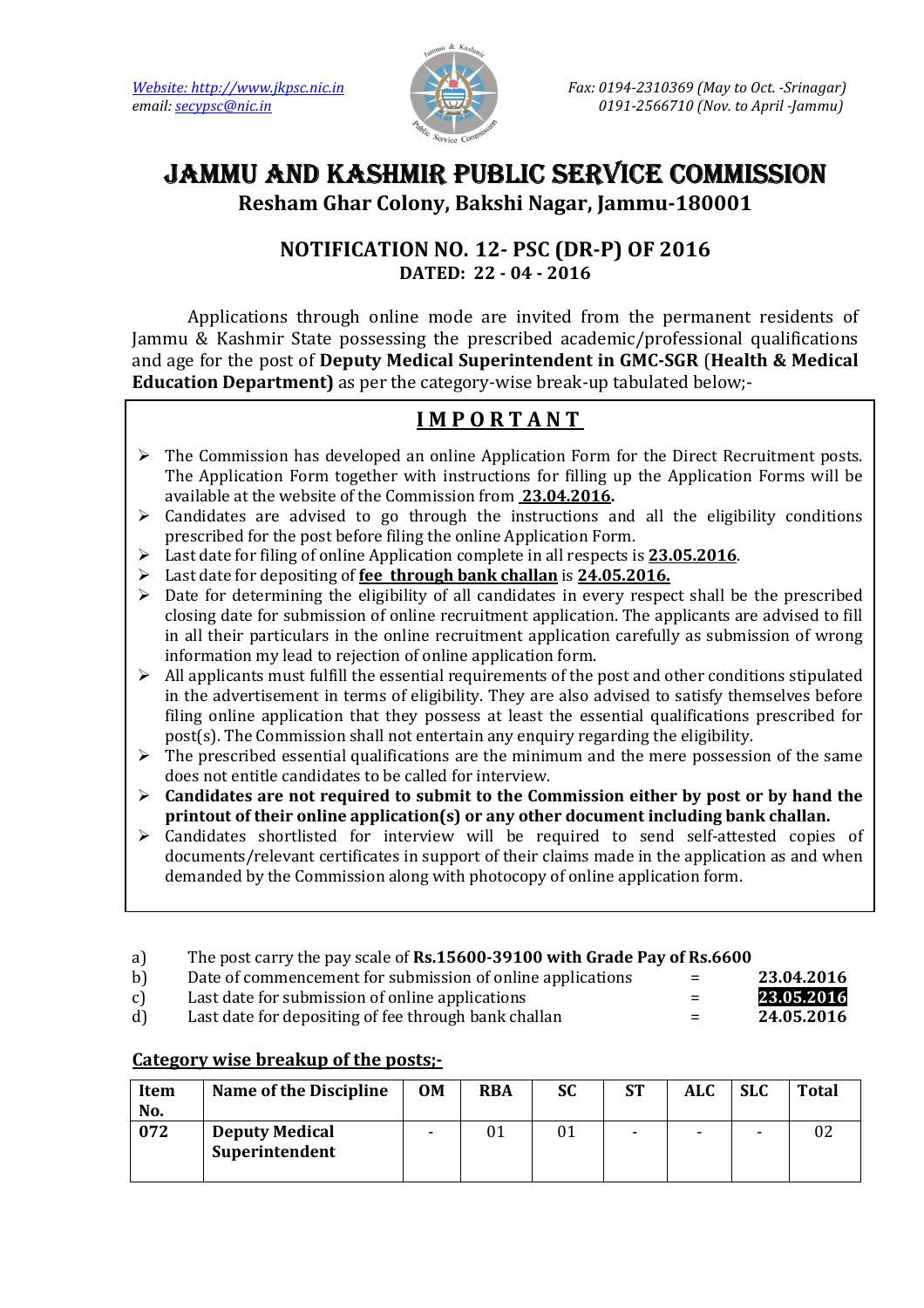

# JAMMU AND KASHMIR PUBLIC SERVICE COMMISSION

Resham Ghar Colony, Bakshi Nagar, Jammu-180001

# NOTIFICATION NO. 12- PSC (DR-P) OF 2016 DATED: 22 - 04 - 2016

 Applications through online mode are invited from the permanent residents of Jammu & Kashmir State possessing the prescribed academic/professional qualifications and age for the post of Deputy Medical Superintendent in GMC-SGR (Health & Medical Education Department) as per the category-wise break-up tabulated below;-

# I M P O R T A N T

- $\triangleright$  The Commission has developed an online Application Form for the Direct Recruitment posts. The Application Form together with instructions for filling up the Application Forms will be available at the website of the Commission from 23.04.2016.
- $\triangleright$  Candidates are advised to go through the instructions and all the eligibility conditions prescribed for the post before filing the online Application Form.
- $\triangleright$  Last date for filing of online Application complete in all respects is 23.05.2016.
- $\geq$  Last date for depositing of fee through bank challan is 24.05.2016.
- $\triangleright$  Date for determining the eligibility of all candidates in every respect shall be the prescribed closing date for submission of online recruitment application. The applicants are advised to fill in all their particulars in the online recruitment application carefully as submission of wrong information my lead to rejection of online application form.
- $\triangleright$  All applicants must fulfill the essential requirements of the post and other conditions stipulated in the advertisement in terms of eligibility. They are also advised to satisfy themselves before filing online application that they possess at least the essential qualifications prescribed for post(s). The Commission shall not entertain any enquiry regarding the eligibility.
- $\triangleright$  The prescribed essential qualifications are the minimum and the mere possession of the same does not entitle candidates to be called for interview.
- $\triangleright$  Candidates are not required to submit to the Commission either by post or by hand the printout of their online application(s) or any other document including bank challan.
- Candidates shortlisted for interview will be required to send self-attested copies of documents/relevant certificates in support of their claims made in the application as and when demanded by the Commission along with photocopy of online application form.
- a) The post carry the pay scale of Rs.15600-39100 with Grade Pay of Rs.6600
- b) Date of commencement for submission of online applications  $=$
- c) Last date for submission of online applications  $=$
- d) Last date for depositing of fee through bank challan  $=$

| 23.04.2016 |
|------------|
| 23.05.2016 |
| 24.05.2016 |
|            |

## Category wise breakup of the posts;-

| <b>Item</b><br>No. | <b>Name of the Discipline</b>           | <b>OM</b> | <b>RBA</b> | SC | <b>ST</b>                | <b>ALC</b> | <b>SLC</b>               | <b>Total</b> |
|--------------------|-----------------------------------------|-----------|------------|----|--------------------------|------------|--------------------------|--------------|
| 072                | <b>Deputy Medical</b><br>Superintendent |           |            |    | $\overline{\phantom{0}}$ | -          | $\overline{\phantom{0}}$ |              |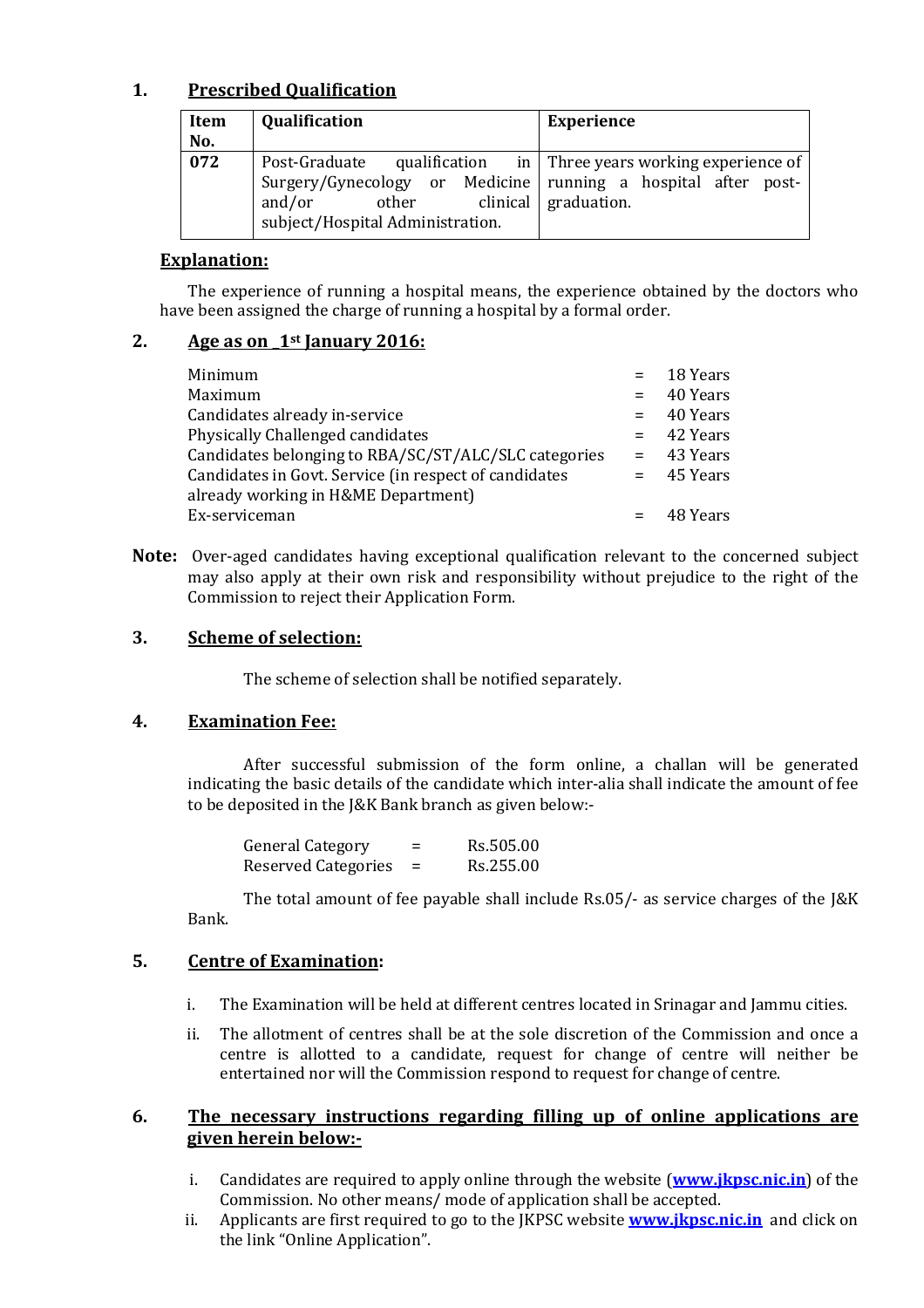## 1. Prescribed Qualification

| <b>Item</b><br>No. | <b>Qualification</b>                                                                                                                                                                                          | <b>Experience</b> |
|--------------------|---------------------------------------------------------------------------------------------------------------------------------------------------------------------------------------------------------------|-------------------|
| $\overline{072}$   | Post-Graduate qualification in Three years working experience of<br>Surgery/Gynecology or Medicine running a hospital after post-<br>and/or<br>other clinical graduation.<br>subject/Hospital Administration. |                   |

#### Explanation:

The experience of running a hospital means, the experience obtained by the doctors who have been assigned the charge of running a hospital by a formal order.

#### 2. Age as on  $1<sup>st</sup>$  January 2016:

| Minimum                                                                                      | $=$ 18 Years |
|----------------------------------------------------------------------------------------------|--------------|
| Maximum                                                                                      | $=$ 40 Years |
| Candidates already in-service                                                                | $=$ 40 Years |
| Physically Challenged candidates                                                             | $= 42$ Years |
| Candidates belonging to RBA/SC/ST/ALC/SLC categories                                         | $=$ 43 Years |
| Candidates in Govt. Service (in respect of candidates<br>already working in H&ME Department) | $=$ 45 Years |
| Ex-serviceman                                                                                | 48 Years     |

Note: Over-aged candidates having exceptional qualification relevant to the concerned subject may also apply at their own risk and responsibility without prejudice to the right of the Commission to reject their Application Form.

#### 3. Scheme of selection:

The scheme of selection shall be notified separately.

#### 4. Examination Fee:

After successful submission of the form online, a challan will be generated indicating the basic details of the candidate which inter-alia shall indicate the amount of fee to be deposited in the J&K Bank branch as given below:-

| <b>General Category</b>    | Rs.505.00 |
|----------------------------|-----------|
| <b>Reserved Categories</b> | Rs.255.00 |

The total amount of fee payable shall include Rs.05/- as service charges of the J&K Bank.

#### 5. Centre of Examination:

- i. The Examination will be held at different centres located in Srinagar and Jammu cities.
- ii. The allotment of centres shall be at the sole discretion of the Commission and once a centre is allotted to a candidate, request for change of centre will neither be entertained nor will the Commission respond to request for change of centre.

#### 6. The necessary instructions regarding filling up of online applications are given herein below:-

- i. Candidates are required to apply online through the website (**www.jkpsc.nic.in**) of the Commission. No other means/ mode of application shall be accepted.
- ii. Applicants are first required to go to the IKPSC website **www.jkpsc.nic.in** and click on the link "Online Application".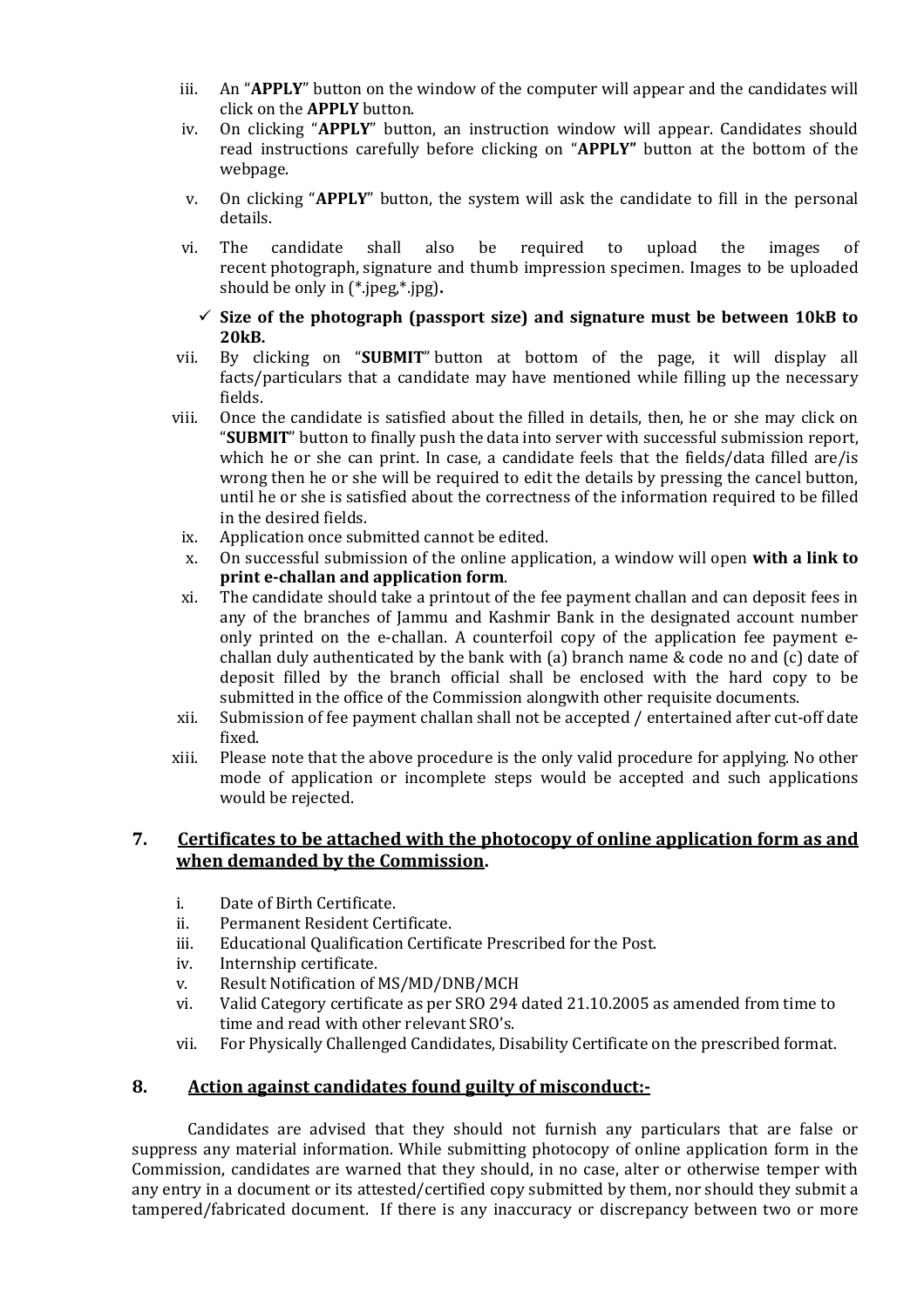- iii. An "APPLY" button on the window of the computer will appear and the candidates will click on the APPLY button.
- iv. On clicking "APPLY" button, an instruction window will appear. Candidates should read instructions carefully before clicking on "APPLY" button at the bottom of the webpage.
- v. On clicking "APPLY" button, the system will ask the candidate to fill in the personal details.
- vi. The candidate shall also be required to upload the images of recent photograph, signature and thumb impression specimen. Images to be uploaded should be only in (\*.jpeg,\*.jpg).

#### $\checkmark$  Size of the photograph (passport size) and signature must be between 10kB to 20kB.

- vii. By clicking on "SUBMIT" button at bottom of the page, it will display all facts/particulars that a candidate may have mentioned while filling up the necessary fields.
- viii. Once the candidate is satisfied about the filled in details, then, he or she may click on "SUBMIT" button to finally push the data into server with successful submission report, which he or she can print. In case, a candidate feels that the fields/data filled are/is wrong then he or she will be required to edit the details by pressing the cancel button, until he or she is satisfied about the correctness of the information required to be filled in the desired fields.
	- ix. Application once submitted cannot be edited.
	- x. On successful submission of the online application, a window will open with a link to print e-challan and application form.
	- xi. The candidate should take a printout of the fee payment challan and can deposit fees in any of the branches of Jammu and Kashmir Bank in the designated account number only printed on the e-challan. A counterfoil copy of the application fee payment echallan duly authenticated by the bank with (a) branch name & code no and (c) date of deposit filled by the branch official shall be enclosed with the hard copy to be submitted in the office of the Commission alongwith other requisite documents.
- xii. Submission of fee payment challan shall not be accepted / entertained after cut-off date fixed.
- xiii. Please note that the above procedure is the only valid procedure for applying. No other mode of application or incomplete steps would be accepted and such applications would be rejected.

#### 7. Certificates to be attached with the photocopy of online application form as and when demanded by the Commission.

- i. Date of Birth Certificate.
- ii. Permanent Resident Certificate.
- iii. Educational Qualification Certificate Prescribed for the Post.
- iv. Internship certificate.
- v. Result Notification of MS/MD/DNB/MCH
- vi. Valid Category certificate as per SRO 294 dated 21.10.2005 as amended from time to time and read with other relevant SRO's.
- vii. For Physically Challenged Candidates, Disability Certificate on the prescribed format.

#### 8. Action against candidates found guilty of misconduct:-

 Candidates are advised that they should not furnish any particulars that are false or suppress any material information. While submitting photocopy of online application form in the Commission, candidates are warned that they should, in no case, alter or otherwise temper with any entry in a document or its attested/certified copy submitted by them, nor should they submit a tampered/fabricated document. If there is any inaccuracy or discrepancy between two or more